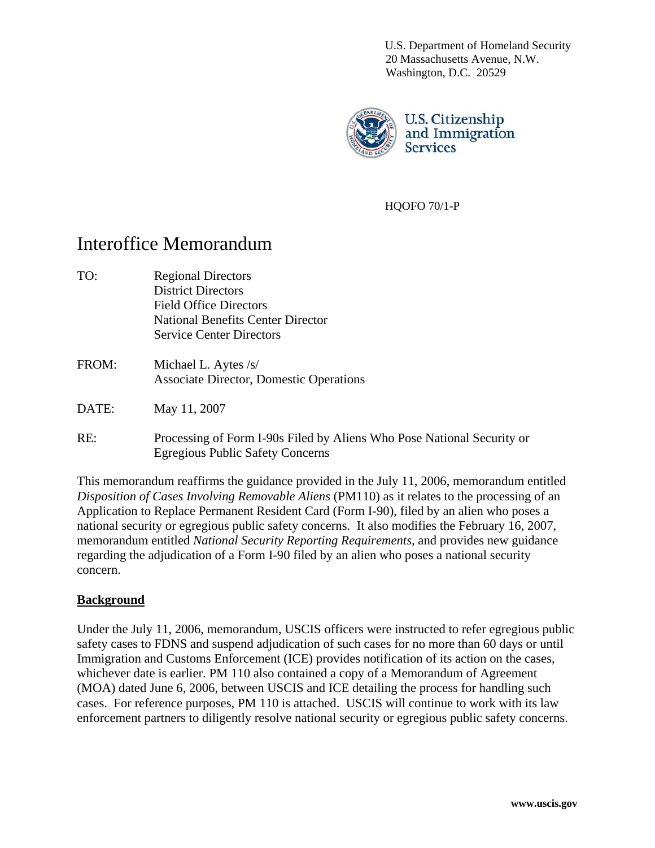U.S. Department of Homeland Security 20 Massachusetts Avenue, N.W. Washington, D.C. 20529



HQOFO 70/1-P

# Interoffice Memorandum

- TO: Regional Directors Field Office Directors National Benefits Center Director District Directors Service Center Directors
- Michael L. Aytes /s/ Associate Director, Domestic Operations FROM:
- May 11, 2007 DATE:
- Processing of Form I-90s Filed by Aliens Who Pose National Security or  $RE:$ Egregious Public Safety Concerns

This memorandum reaffirms the guidance provided in the July 11, 2006, memorandum entitled *Disposition of Cases Involving Removable Aliens* (PM110) as it relates to the processing of an Application to Replace Permanent Resident Card (Form I-90), filed by an alien who poses a national security or egregious public safety concerns. It also modifies the February 16, 2007, memorandum entitled *National Security Reporting Requirements,* and provides new guidance regarding the adjudication of a Form I-90 filed by an alien who poses a national security concern.

#### **<u>Background</u>**

Under the July 11, 2006, memorandum, USCIS officers were instructed to refer egregious public (MOA) dated June 6, 2006, between USCIS and ICE detailing the process for handling such enforcement partners to diligently resolve national security or egregious public safety concerns. safety cases to FDNS and suspend adjudication of such cases for no more than 60 days or until Immigration and Customs Enforcement (ICE) provides notification of its action on the cases, whichever date is earlier. PM 110 also contained a copy of a Memorandum of Agreement cases. For reference purposes, PM 110 is attached. USCIS will continue to work with its law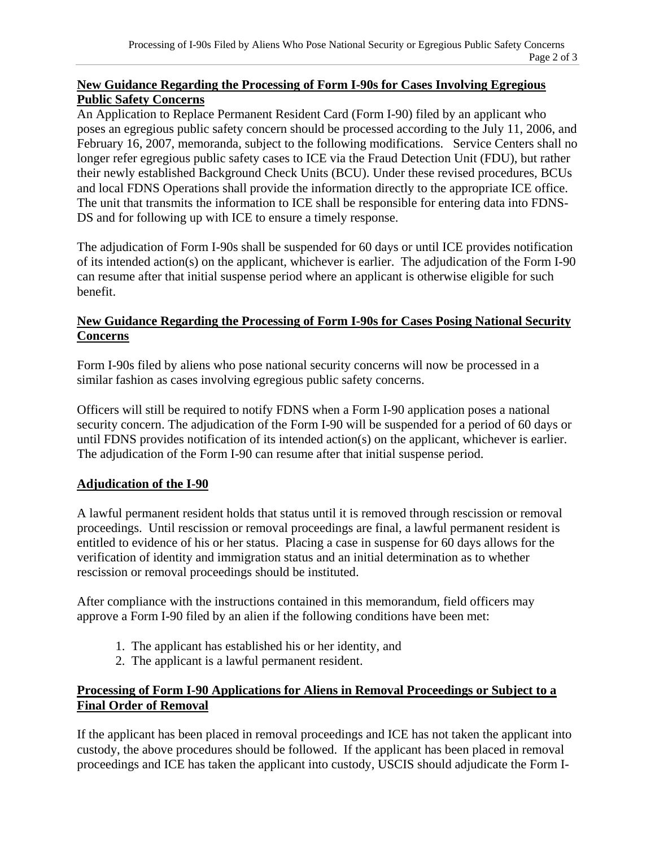#### **New Guidance Regarding the Processing of Form I-90s for Cases Involving Egregious Public Safety Concerns**

An Application to Replace Permanent Resident Card (Form I-90) filed by an applicant who poses an egregious public safety concern should be processed according to the July 11, 2006, and February 16, 2007, memoranda, subject to the following modifications. Service Centers shall no longer refer egregious public safety cases to ICE via the Fraud Detection Unit (FDU), but rather their newly established Background Check Units (BCU). Under these revised procedures, BCUs and local FDNS Operations shall provide the information directly to the appropriate ICE office. The unit that transmits the information to ICE shall be responsible for entering data into FDNS-DS and for following up with ICE to ensure a timely response.

The adjudication of Form I-90s shall be suspended for 60 days or until ICE provides notification of its intended action(s) on the applicant, whichever is earlier. The adjudication of the Form I-90 can resume after that initial suspense period where an applicant is otherwise eligible for such benefit.

#### **New Guidance Regarding the Processing of Form I-90s for Cases Posing National Security Concerns**

Form I-90s filed by aliens who pose national security concerns will now be processed in a similar fashion as cases involving egregious public safety concerns.

Officers will still be required to notify FDNS when a Form I-90 application poses a national security concern. The adjudication of the Form I-90 will be suspended for a period of 60 days or until FDNS provides notification of its intended action(s) on the applicant, whichever is earlier. The adjudication of the Form I-90 can resume after that initial suspense period.

### **Adjudication of the I-90**

A lawful permanent resident holds that status until it is removed through rescission or removal proceedings. Until rescission or removal proceedings are final, a lawful permanent resident is entitled to evidence of his or her status. Placing a case in suspense for 60 days allows for the verification of identity and immigration status and an initial determination as to whether rescission or removal proceedings should be instituted.

After compliance with the instructions contained in this memorandum, field officers may approve a Form I-90 filed by an alien if the following conditions have been met:

- 1. The applicant has established his or her identity, and
- 2. The applicant is a lawful permanent resident.

## **Processing of Form I-90 Applications for Aliens in Removal Proceedings or Subject to a Final Order of Removal**

If the applicant has been placed in removal proceedings and ICE has not taken the applicant into custody, the above procedures should be followed. If the applicant has been placed in removal proceedings and ICE has taken the applicant into custody, USCIS should adjudicate the Form I-